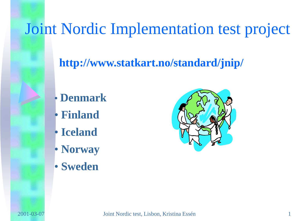### Joint Nordic Implementation test project

### **http://www.statkart.no/standard/jnip/**

- **Denmark**
- **Finland**
- **Iceland**
- **Norway**
- **Sweden**

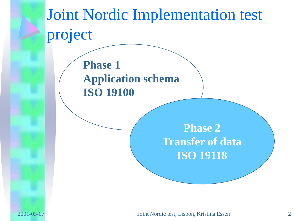# Joint Nordic Implementation test project **Phase 2 Transfer of data ISO 19118 Phase 1 Application schema ISO 19100**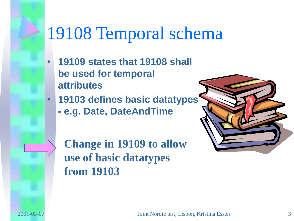### 19108 Temporal schema

- **19109 states that 19108 shall be used for temporal attributes**
- **19103 defines basic datatypes** 
	- **- e.g. Date, DateAndTime**

**Change in 19109 to allow use of basic datatypes from 19103**

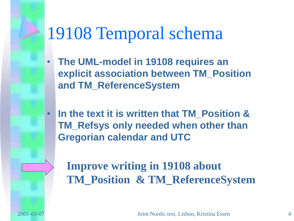## 19108 Temporal schema

- **The UML-model in 19108 requires an explicit association between TM\_Position and TM\_ReferenceSystem**
- **In the text it is written that TM\_Position & TM\_Refsys only needed when other than Gregorian calendar and UTC**

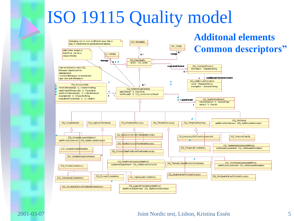## ISO 19115 Quality model

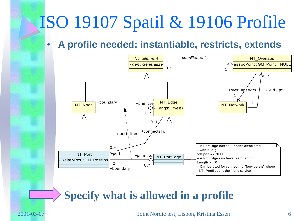## ISO 19107 Spatil & 19106 Profile

### • **A profile needed: instantiable, restricts, extends**



### **Specify what is allowed in a profile**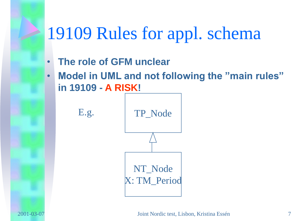## 19109 Rules for appl. schema

- **The role of GFM unclear**
- **Model in UML and not following the "main rules" in 19109 - A RISK!**